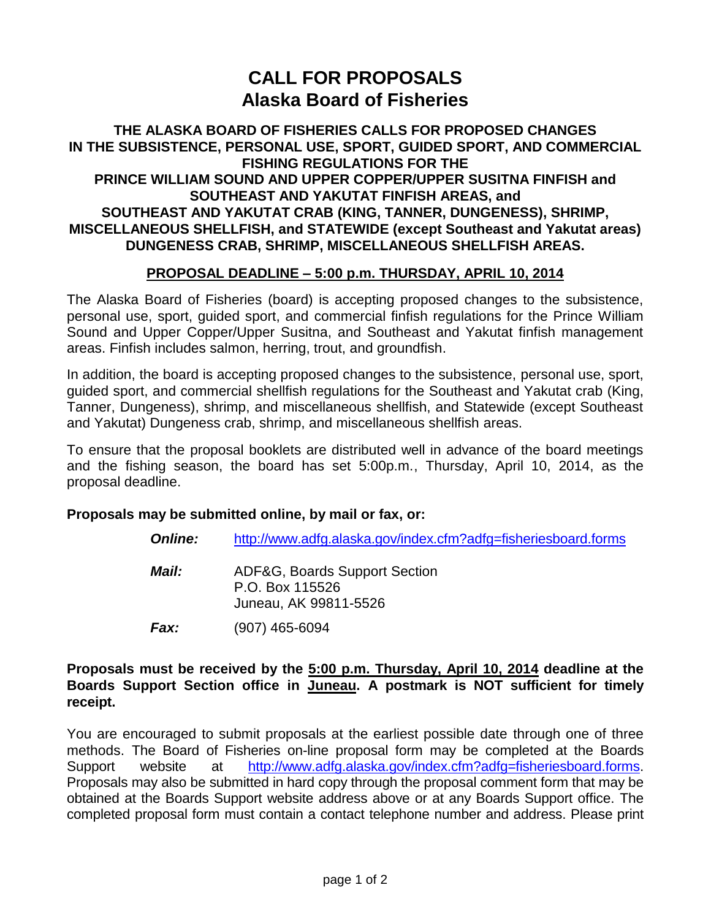# **CALL FOR PROPOSALS Alaska Board of Fisheries**

## **THE ALASKA BOARD OF FISHERIES CALLS FOR PROPOSED CHANGES IN THE SUBSISTENCE, PERSONAL USE, SPORT, GUIDED SPORT, AND COMMERCIAL FISHING REGULATIONS FOR THE PRINCE WILLIAM SOUND AND UPPER COPPER/UPPER SUSITNA FINFISH and SOUTHEAST AND YAKUTAT FINFISH AREAS, and SOUTHEAST AND YAKUTAT CRAB (KING, TANNER, DUNGENESS), SHRIMP, MISCELLANEOUS SHELLFISH, and STATEWIDE (except Southeast and Yakutat areas) DUNGENESS CRAB, SHRIMP, MISCELLANEOUS SHELLFISH AREAS.**

## **PROPOSAL DEADLINE – 5:00 p.m. THURSDAY, APRIL 10, 2014**

The Alaska Board of Fisheries (board) is accepting proposed changes to the subsistence, personal use, sport, guided sport, and commercial finfish regulations for the Prince William Sound and Upper Copper/Upper Susitna, and Southeast and Yakutat finfish management areas. Finfish includes salmon, herring, trout, and groundfish.

In addition, the board is accepting proposed changes to the subsistence, personal use, sport, guided sport, and commercial shellfish regulations for the Southeast and Yakutat crab (King, Tanner, Dungeness), shrimp, and miscellaneous shellfish, and Statewide (except Southeast and Yakutat) Dungeness crab, shrimp, and miscellaneous shellfish areas.

To ensure that the proposal booklets are distributed well in advance of the board meetings and the fishing season, the board has set 5:00p.m., Thursday, April 10, 2014, as the proposal deadline.

#### **Proposals may be submitted online, by mail or fax, or:**

| <b>Online:</b><br>http://www.adfg.alaska.gov/index.cfm?adfg=fisheriesboard.forms |
|----------------------------------------------------------------------------------|
|----------------------------------------------------------------------------------|

- *Mail:* ADF&G, Boards Support Section P.O. Box 115526 Juneau, AK 99811-5526
- *Fax:* (907) 465-6094

#### **Proposals must be received by the 5:00 p.m. Thursday, April 10, 2014 deadline at the Boards Support Section office in Juneau. A postmark is NOT sufficient for timely receipt.**

You are encouraged to submit proposals at the earliest possible date through one of three methods. The Board of Fisheries on-line proposal form may be completed at the Boards Support website at [http://www.adfg.alaska.gov/index.cfm?adfg=fisheriesboard.forms.](http://www.adfg.alaska.gov/index.cfm?adfg=fisheriesboard.forms) Proposals may also be submitted in hard copy through the proposal comment form that may be obtained at the Boards Support website address above or at any Boards Support office. The completed proposal form must contain a contact telephone number and address. Please print